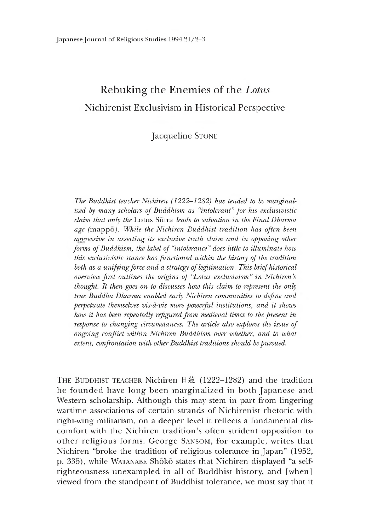# Rebuking the Enemies of the *Lotus* Nichirenist Exclusivism in Historical Perspective

# Jacqueline STONE

*The Buddhist teacher Nichiren (1222-1282) has tended to be marginalized by many scholars of Buddhism as "intolerant" for his exclusivistic claim that only the* Lotus Sutra *leads to salvation in the Final Dharma age* (mappo). *While the Nichiren Buddhist tradition has often been aggressive in asserting its exclusive truth claim and in opposing other forms of Buddhism, the label of "intolerance" does little to illuminate how this exclusivistic stance has functioned within the history of the tradition both as a unifying force and a strategy of legitimation. This brief historical overview first outlines the origins of "Lotus exclusivism* " *in Nichiren's thought. It then goes on to discusses how this claim to represent the only true Buddha Dharma enabled early Nichiren communities to define and perpetuate themselves vis-a-vis more powerful institutions, and it shows how it has been repeatedly refigured from medieval times to the present in response to changing circumstances. The article also explores the issue of ongoing' conflict within Nichiren Buddhism over whether, and to what extent, confrontation with other Buddhist traditions should be pursued.*

THE BUDDHIST TEACHER Nichiren 日蓮 (1222-1282) and the tradition he founded have lone been marginalized in both Japanese and Western scholarship. Although this may stem in part from lingering wartime associations of certain strands of Nichirenist rhetoric with right-wing militarism, on a deeper level it reflects a fundamental discomfort with the Nichiren tradition's often strident opposition to other religious forms. George Sansom, for example, writes that Nichiren "broke the tradition of religious tolerance in Japan" (1952, p. 335), while WATANABE Shoko states that Nichiren displayed "a selfrighteousness unexampled in all of Buddhist history, and [when] viewed from the standpoint of Buddhist tolerance, we must say that it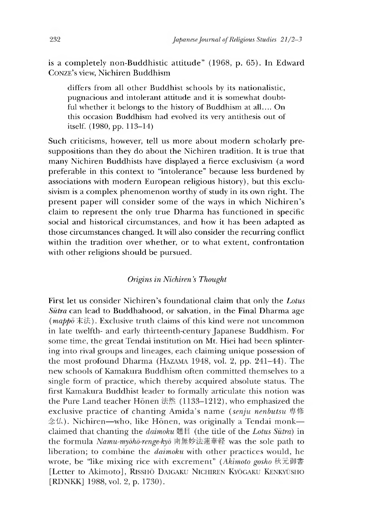is a completely non-Buddhistic attitude" (1968, p. 65). In Edward Conze's view, Nichiren Buddhism

differs from all other Buddhist schools by its nationalistic, pugnacious and intolerant attitude and it is somewhat doubtful whether it belongs to the history of Buddhism at all.... On this occasion Buddhism had evolved its very antithesis out of itself. (1980, pp. 113–14)

Such criticisms, however, tell us more about modern scholarly presuppositions than they do about the Nichiren tradition. It is true that many Nichiren Buddhists have displayed a fierce exclusivism (a word preferable in this context to "intolerance" because less burdened by associations with modern European religious history), but this exclusivism is a complex phenomenon worthy of study in its own right. The present paper will consider some of the ways in which Nichiren's claim to represent the only true Dharma has functioned in specific social and historical circumstances, and how it has been adapted as those circumstances changed. It will also consider the recurring conflict within the tradition over whether, or to what extent, confrontation with other religions should be pursued.

# $Origins in$  *Nichiren's Thought*

First let us consider Nichiren's foundational claim that only the *Lotus Sutra* can lead to Buddhahood, or salvation, in the Final Dharma age  $(mapbo \neq \nexists)$ . Exclusive truth claims of this kind were not uncommon in late twelfth- and early thirteenth-century Japanese Buddhism. For some time, the great Tendai institution on Mt. Hiei had been splinterine into rival groups and lineages, each claiming unique possession of the most profound Dharma (HAZAMA 1948, vol. 2, pp. 241-44). The new schools of Kamakura Buddnism often committed themselves to a single form of practice, which thereby acquired absolute status. The first Kamakura Buddhist leader to formally articulate this notion was the Pure Land teacher Honen 法然  $(1133-1212)$ , who emphasized the exclusive practice of chanting Amida's name *(senju nenbutsu* 専修 念仏). Nichiren—who, like Honen, was originally a Tendai monk claimed that chanting the *daimoku* 題目 (the title of the *Lotus Sutra*) in the formula *Namu-mydhd-renge-kyd* 南無妙法蓮華経 was the sole path to liberation; to combine the *daimoku* with other practices would, he wrote, be "like mixing rice with excrement" (Akimoto gosho 秋元御書 [Letter to Akimoto], RISSHO DAIGAKU NICHIREN KYOGAKU KENKYUSHO [RDNKK] 1988, vol. 2, p. 1730).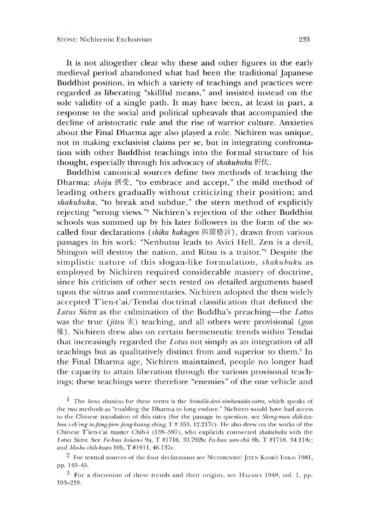It is not altogether clear why these and other figures in the early medieval period abandoned what had been the traditional Japanese Buddhist position, in which a variety of teachings and practices were regarded as liberating "skillful means," and insisted instead on the sole validity of a single path. It may have been, at least in part, a response to the social and political upheavals that accompanied the decline of aristocratic rule and the rise of warrior culture. Anxieties about the Final Dharma age also played a role. Nichiren was unique, not in making exclusivist claims per se, but in integrating confrontation with other Buddhist teachings into the formal structure of his thought, especially through his advocacy of *shakubuku* 折伏.

Buddhist canonical sources define two methods of teaching the Dharma: *shōju* 摂受, "to embrace and accept," the mild method of leading others gradually without criticizing their position; and *shakubuku,* "to break and subdue," the stern method of explicitly rejecting "wrong views." Nichiren's rejection of the other Buddhist schools was summed up by his later followers in the form of the socalled four declarations *(shika kakugen* 四箇格言),drawn from various passages in his work: "Nenbutsu leads to Avici Hell, Zen is a devil, Shingon will destroy the nation, and Ritsu is a traitor. $\frac{3}{2}$  Despite the simplistic nature of this slogan-like formulation, *shakubuku* as employed by Nichiren required considerable mastery of doctrine since his criticism of other sects rested on detailed arguments based upon the sūtras and commentaries. Nichiren adopted the then widely accepted T'ien-t'ai/Tendai doctrinal classification that defined the *Lotus Sutra* as the culmination 01 the Buddha's preaching— the *Lotus* was the true *(jitsu*  $\notin$ ) teaching, and all others were provisional *(gon*) ). Nichiren drew also on certain hermeneutic trends within Tendai that increasingly regarded the *Lotus* not simply as an integration of all teachings but as qualitatively distinct from and superior to them.<sup>3</sup> In the Final Dharma age, Nichiren maintained, people no longer had the capacity to attain liberation through the various provisonal teachings; these teachings were therefore "enemies" of the one vehicle and

1 The *locus classicus* for these terms is the *Snmdla-devi-simhanada-sutra,* which speaks of the two methods as "enabling the Dharma to long endure." Nichiren would have had access to the Chinese translation of this sutra (for the passage in question, see *Sheng-man shih-tzuhou i-ch 'eng ta-fang-j)ien fang-kuang- ching,* T # 353 12.217c). He also drew on the works of the Chinese Tien-t'ai master Chih-i (538-597), who explicitly connected *shakubuku* with the *Lotus Sutra.* See *Fa-hua hsuan-i* 9a, T #1716, 33.792b; *Fa-hua wen-chu* 8b, T #1718, 34.118c; and *Mo-ho chih-kuan* 10b, T #1911, 46.137c.

 $2$  For textual sources of the four declarations see NICHIRENSHU JITEN KANKO IINKAI 1981, pp. 143-45.

 $3$  For a discussion of these trends and their origins, see HAZAMA 1948, vol. 1, pp. 193-219.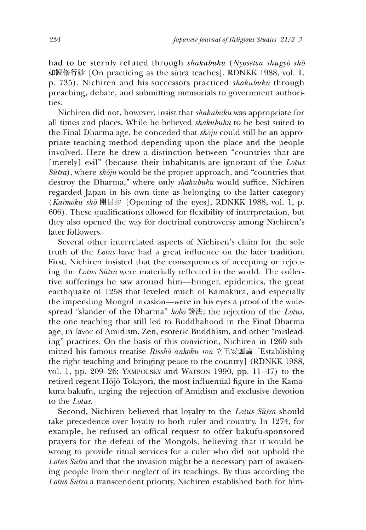had to be sternly refuted through *shakubuku {Nyosetsu shugyd sho* 如説修行鈔 [On practicing as the sutra teaches], RDNKK 1988, vol. 1, p. 735). Nichiren and his successors practiced *shakubuku* through preaching, debate, and submitting memorials to eovernment authorities.

Nichiren did not, however, insist that *shakubuku* was appropriate for all times and places. While he believed *shakubuku* to be best suited to the Final Dharma age, he conceded that *shoju* could still be an appropriate teaching method depending upon the place and the people involved. Here he drew a distinction between "countries that are [merely] evil" (because their inhabitants are ignorant of the *Lotus Sutra*), where *shoju* would be the proper approach, and "countries that destroy the Dharma," where only *shakubuku* would suffice. Nichiren regarded Japan in his own time as belonging to the latter category (Kaimoku sho 開目抄 [Opening of the eyes], RDNKK 1988, vol. 1, p. 606). These qualifications allowed for flexibility of interpretation, but they also opened the way for doctrinal controversy amone Nichiren's later followers.

Several other interrelated aspects of Nichiren's claim for the sole truth of the *Lotus* have had a great influence on the later tradition. First, Nichiren insisted that the consequences of accepting or rejecting the *Lotus Sutra* were materially reflected in the world. The collective sufferings he saw around him— hunger, epidemics, the great earthquake of 1258 that leveled much of Kamakura, and especially the impending Mongol invasion—were in his eyes a proof of the widespread "slander of the Dharma" hobo 謗法: the rejection of the *Lotus*, the one teaching that still led to Buddhahood in the Final Dharma age, in favor of Amidism, Zen, esoteric Buddhism, and other "misleading" practices. On the basis of this conviction, Nichiren in 1260 submitted his famous treatise *Rissho ankoku ron* 立正安国論[Establishing the right teaching and bringing peace to the country] (RDNKK 1988, vol. 1, pp. 209–26; YAMPOLSKY and WATSON 1990, pp.  $11-47$ ) to the retired regent Hōjō Tokiyori, the most influential figure in the Kamakura bakufu, urging the rejection of Amidism and exclusive devotion to the *Lotus.*

Second, Nichiren believed that loyalty to the *Lotus Sutra* should take precedence over loyalty to both ruler and country. In 1274, for example, he refused an offical request to offer bakufu-sponsored prayers for the defeat of the Mongols, believing that it would be wrong to provide ritual services for a ruler who did not uphold the Lotus Sutra and that the invasion might be a necessary part of awakening people from their neglect of its teachings. By thus according the *Lotus Sutra* a transcendent priority, Nichiren established both for him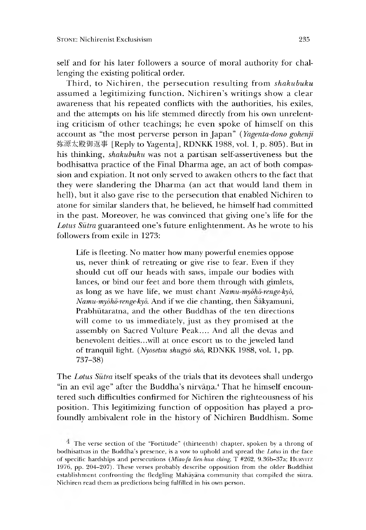self and for his later followers a source of moral authority for challenging the existing political order.

Third, to Nichiren, the persecution resulting from *shakubuku* assumed a legitimizing function. Nichiren's writings show a clear awareness that his repeated conflicts with the authorities, his exiles, and the attempts on his life stemmed directly from his own unrelenting criticism of other teachings; he even spoke of himself on this account as "the most perverse person in Japan" (*Yagenta-dono gohenji* 弥源太殿御返事 [Reply to Yagenta], RDNKK 1988, vol. 1, p. 805). But in his thinking, *shakubuku* was not a partisan self-assertiveness but the bodhisattva practice of the Final Dharma age, an act of both compassion and expiation. It not only served to awaken others to the fact that they were slandering the Dharma (an act that would land them in hell), but it also gave rise to the persecution that enabled Nichiren to atone for similar slanders that, he believed, he himself had committed in the past. Moreover, he was convinced that eiving one's life for the *Lotus Sutra* guaranteed one's future enlightenment. As he wrote to his followers from exile in 1273:

Life is fleeting. No matter how many powerful enemies oppose us, never think of retreating or give rise to fear. Even if they should cut off our heads with saws, impale our bodies with lances, or bind our feet and bore them through with gimlets, as long as we have life, we must chant *Namu-mydhd-renge-kyd, Namu-mydhd-renge-kyd.* And if we die chanting, then Sakyamuni, Prabhutaratna, and the other Buddhas of the ten directions will come to us immediately, just as they promised at the assembly on Sacred Vulture Peak.... And all the devas and benevolent deities...will at once escort us to the jeweled land of tranquil light. *(Nyosetsu shugyō shō*, RDNKK 1988, vol. 1, pp.  $737 - 38$ 

The *Lotus Sutra* itself speaks of the trials that its devotees shall undergo "in an evil age" after the Buddha's nirvana.<sup>4</sup> That he himself encountered such difficulties confirmed for Nichiren the righteousness or his position. This legitimizing function of opposition has played a profoundly ambivalent role in the history of Nichiren Buddhism. Some

 $<sup>4</sup>$  The verse section of the "Fortitude" (thirteenth) chapter, spoken by a throng of</sup> bodhisattvas in the Buddha's presence, is a vow to uphold and spread the *Lotus* in the face of specific hardships and persecutions *(Miao-fa lien-hua ching,* T #262, 9.36b-37a; HURVITZ 1976, pp. 204-207). These verses probably describe opposition from the older Buddhist establishment confronting the fledgling Mahayana community that compiled the sutra. Nichiren read them as predictions being fulfilled in his own person.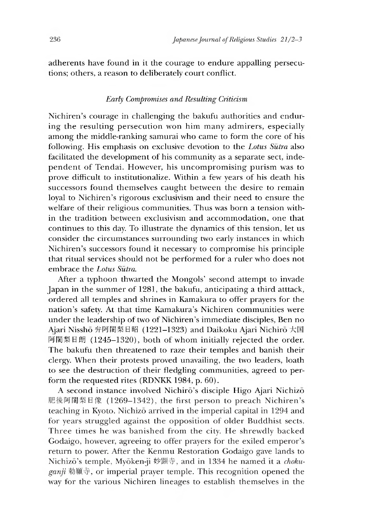adherents have found in it the courage to endure appalling persecutions; others, a reason to deliberately court conflict.

### *Early Compromises and Resulting Criticism*

Nichiren's courage in challenging the bakufu authorities and enduring the resulting persecution won him many admirers, especially among the middle-ranking samurai who came to form the core of his following. His emphasis on exclusive devotion to the *Lotus Sutra* also facilitated the development of his community as a separate sect, independent of Tendai. However, his uncompromising purism was to prove difficult to institutionalize. Within a few years of his death his successors found themselves caught between the desire to remain loyal to Nichiren's rigorous exclusivism and their need to ensure the welfare of their religious communities. Thus was born a tension within the tradition between exclusivism and accommodation, one that continues to this day. To illustrate the dynamics of this tension, let us consider the circumstances surrounding two early instances in which Nichiren's successors found it necessary to compromise his principle that ritual services should not be performed for a ruler who does not embrace the *Lotus Sutra.*

After a typhoon thwarted the Mongols' second attempt to invade Japan in the summer of 1281, the bakufu, anticipating a third atttack, ordered all temples and shrines in Kamakura to offer prayers for the nation's safety. At that time Kamakura's Nichiren communities were under the leadership of two of Nichiren's immediate disciples, Ben no Ajari Nissho 弁阿闍梨日昭(1221—1323) and Daikoku Ajari Nichiro 大国 阿闍梨日朗 (1245-1320), both of whom initially rejected the order. The bakufu then threatened to raze their temples and banish their clergy. When their protests proved unavailing, the two leaders, loath to see the destruction of their fledeling communities, agreed to perform the requested rites (RDNKK 1984, p. 60).

A second instance involved Nichiro's disciple Higo Ajari Nichizo 肥後阿闍梨日像 (1269–1342), the first person to preach Nichiren's teaching in Kyoto. Nichizo arrived in the imperial capital in 1294 and for years struggled aeainst the opposition of older Buddhist sects. Three times he was banished from the city. He shrewdly backed Godaigo, however, agreeing to offer prayers for the exiled emperor's return to power. After the Kenmu Restoration Godaigo gave lands to Nichizo's temple, Myoken-ji 妙顕寺, and in 1334 he named it a *choku*ganji 勅願寺, or imperial prayer temple. This recognition opened the way for the various Nichiren lineages to establish themselves in the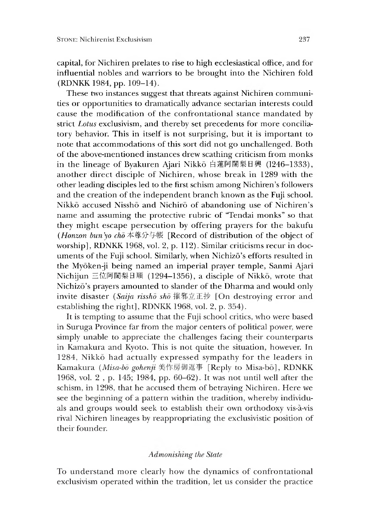capital, for Nichiren prelates to rise to high ecclesiastical office, and for influential nobles and warriors to be brought into the Nichiren fold (RDNKK 1984, pp. 109-14).

These two instances suggest that threats against Nichiren communities or opportunities to dramatically advance sectarian interests could cause the modification of the confrontational stance mandated by strict *Lotus* exclusivism, and thereby set precedents for more conciliatory behavior. This in itself is not surprising, but it is important to note that accommodations of this sort did not go unchallenged. Both of the above-mentioned instances drew scathing criticism from monks in the lineage of Byakuren Ajari Nikkō 白蓮阿闍梨日興 (1246-1333), another direct disciple of Nichiren, whose break in 1289 with the other leading' disciples led to the first schism among Nichiren's followers and the creation of the independent branch known as the Fuji school. NiKko accused Nissho and Nichiro of abandoning use of Nichiren's name and assuming the protective rubric of "Tendai monks" so that they might escape persecution by offering prayers for the bakufu *(Horizon bun'yo cho* 本尊分与帳[Record of distribution of the object of worship], RDNKK 1968, vol. 2, p. 112). Similar criticisms recur in documents of the Fuji school. Similarly, when Nichizō's efforts resulted in the Myoken-ji being named an imperial prayer temple, Sanmi Ajari Nichijun 三位阿闍梨日順 (1294–1356), a disciple of Nikko, wrote that Nichizo's prayers amounted to slander of the Dharma and would only invite disaster (*Saija risshō shō* 摧邪立正抄 [On destroying error and establishing the right], RDNKK 1968, vol. 2, p. 354).

It is tempting to assume that the Fuji school critics, who were based in Suruga Province far from the major centers of political power, were simply unable to appreciate the challenges facing their counterparts in Kamakura and Kyoto. This is not quite the situation, however. In 1284, Nikko had actually expressed sympathy for the leaders in Kamakura *(Misa-bd gohenji* 美作房御返事[Reply to Misa-bo], RDNKK 1968, vol. 2, p. 145; 1984, pp. 60–62). It was not until well after the schism, in 1298, that he accused them of betraying Nichiren. Here we see the beginning of a pattern within the tradition, whereby individuals and groups would seek to establish their own orthodoxy vis-a-vis rival Nichiren lineages by reappropriating the exclusivistic position of their founder.

#### *Admonismng the State*

To understand more clearly how the dynamics of confrontational exclusivism operated witnin the tradition, let us consider the practice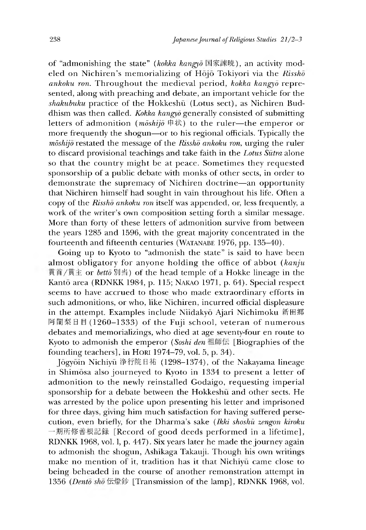of "admonishing the state" *(kokka kangyd* 国家諌暁),an activity modeled on Nichiren's memorializing of Hojo Tokiyori via the *Rissho* ankoku ron. Throughout the medieval period, kokka kangyō represented, along with preaching and debate, an important vehicle for the shakubuku practice of the Hokkeshū (Lotus sect), as Nichiren Buddhism was then called. *Kokka kangyd* generally consisted of submitting letters of admonition *(mōshijō* 申状) to the ruler—the emperor or more frequently the shogun—or to his regional officials. Typically the *mdshijo* restated the message of the *Rissho ankoku ron,* urging the ruler to discard provisional teachings and take faith in the *Lotus Sutra* alone so that the country might be at peace. Sometimes they requested sponsorship of a public debate with monks of other sects, in order to demonstrate the supremacy of Nichiren doctrine—an opportunity that Nichiren himself had sought in vain throughout his life. Often a copy of the *Rissho ankoku ron* itself was appended, or, less frequently, a work of the writer's own composition setting forth a similar message. More than forty of these letters of admonition survive from between the years 1285 and 1596, with the great majority concentrated in the fourteenth and fifteenth centuries (WATANABE 1976, pp. 135–40).

Going up to Kyoto to "admonish the state" is said to have been almost obligatory for anyone holdine the office of abbot *(kanju* 貫首/貫主 or *betto* 別当) of the head temple of a Hokke lineage in the Kantō area (RDNKK 1984, p. 115; NAKAO 1971, p. 64). Special respect seems to have accrued to those who made extraordinary efforts in such admonitions, or who, like Nichiren, incurred official displeasure in the attempt. Examples include Niidakyō Ajari Nichimoku 新田郷 阿闍梨曰目(1260-1333) of the Fuji school, veteran of numerous debates and memorializings, who died at age seventy-four en route to Kyoto to admonish the emperor *(Soshi den* 祖師伝 [Biographies of the founding teachers], in HORI  $1974-79$ , vol. 5, p. 34).

Jōgyōin Nichiyū 浄行院日祐 (1298-1374), of the Nakayama lineage in Shimosa also journeyed to Kyoto in 1334 to present a letter of admonition to the newly reinstalled Godaigo, requesting imperial sponsorship for a debate between the Hokkeshū and other sects. He was arrested by the police upon presenting his letter and imprisoned for three days, giving him much satisfaction for having suffered persecution, even briefly, for the Dharma's sake *(Ikki shoshu zengon kiroku* 一期所修吾根記録[Record of good deeds performed in a lifetime], RDNKK 1968, vol. 1, p. 447). Six years later he made the journey again to admonish the shogun, Ashikaga Takauji. Though his own writings make no mention of it, tradition has it that Nichiyu came close to being beheaded in the course of another remonstration attempt in 1356 *(Dentō shō* 伝燈鈔 [Transmission of the lamp], RDNKK 1968, vol.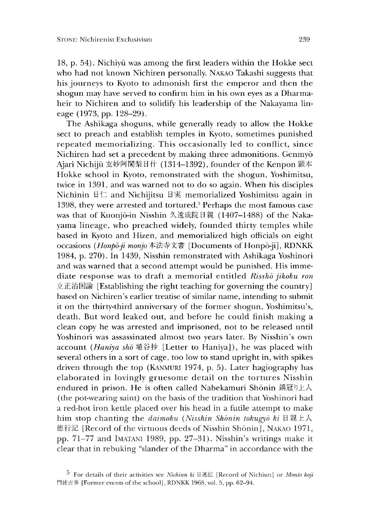18, p. 54). Nichiyū was among the first leaders within the Hokke sect who had not known Nichiren personally. Nakao Takashi suggests that his journeys to Kyoto to admonish first the emperor and then the shogun may have served to confirm him in his own eyes as a Dharmaheir to Nichiren and to solidify his leadership of the Nakayama lineage (1973, pp. 128-29).

The Ashikaga shoguns, while generally ready to allow the Hokke sect to preach and establish temples in Kyoto, sometimes punished repeated memorializing. This occasionally led to conflict, since Nichiren had set a precedent by making three admonitions. Genmyo Ajari Nichiju 玄妙阿闍梨曰什(1314-1392),founder of the Kenpon 顕本 Hokke school in Kyoto, remonstrated with the shogun, Yoshimitsu, twice in 1391, and was warned not to do so again. When his disciples Nichinin 日仁 and Nichijitsu 日実 memorialized Yoshimitsu again in 1398, they were arrested and tortured.<sup>5</sup> Perhaps the most famous case was that of Kuonjō-in Nisshin 久遠成院日親 (1407-1488) of the Nakayama lineage, who preached widely, founded thirty temples while based in Kyoto and Hizen, and memorialized high officials on eight occasions *(Honpd-ji monjo* 本法寺文書[Documents of Honpo-jij,RDNKK 1984, p. 270). In 1439, Nisshin remonstrated with Ashikaga Yoshinori and was warned that a second attempt would be punished. His immediate response was to draft a memorial entitled *Rissho jikoku ron* 立正治国論 [Establishing the right teaching for governing the country] based on Nichiren's earlier treatise of similar name, intending' to submit it on the thirty-third anniversary of the former shogun, Yoshimitsu's, death. But word leaked out, and before he could finish making a clean copy he was arrested and imprisoned, not to be released until Yoshinori was assassinated almost two years later. By Nisshin's own account *(Haniya shō* 埴谷抄 [Letter to Haniya]), he was placed with several others in a sort of cage, too low to stand upright in, with spikes driven through the top (KANMURI 1974, p. 5). Later hagiography has elaborated in lovingly gruesome detail on the tortures Nisshin endured in prison. He is often called Nabekamuri Shōnin 鍋冠り上人 (the pot-wearing saint) on the basis of the tradition that Yoshinori had a red-hot iron kettle placed over his head in a futile attempt to make him stop chanting the *daimoku (Nisshin Shonin tokugyd ki* 日親上人 徳行記[Record of the virtuous deeds of Nisshin Shonin], Nakao 1971 pp. 71-77 and IMATANI 1989, pp. 27-31). Nisshin's writings make it clear that in rebuking "slander of the Dharma" in accordance with the

<sup>&</sup>lt;sup>5</sup> For details of their activities see *Nichiun ki* 且運記 [Record of Nichiun] or *Monto koji* 門徒古事 [Former events of the school], RDNKK 1968, vol. 5, pp. 62-94.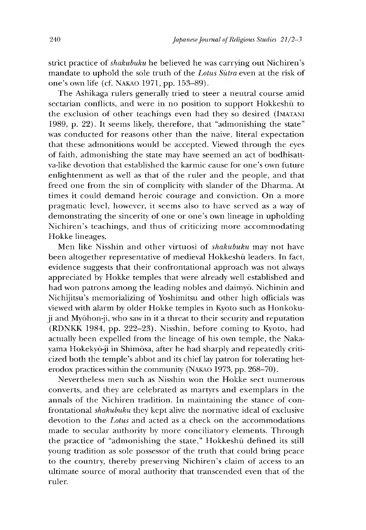strict practice of *shakubuku* he believed he was carrying out Nichiren's mandate to uphold the sole truth of the *Lotus Sutra* even at the risk of one's own life (cf. Nakao 1971, pp. 153–89).

The Ashikaga rulers generally tried to steer a neutral course amid sectarian conflicts, and were in no position to support Hokkeshu to the exclusion of other teachings even had they so desired (IMATANI 1989, p. 22). It seems likely, therefore, that "admonishing the state" was conducted for reasons other than the naive, literal expectation that these admonitions would be accepted. Viewed through the eyes of faith, admonishing the state may have seemed an act of bodhisattva-like devotion that established the karmic cause for one's own future enlightenment as well as that of the ruler and the people, and that freed one from the sin of complicity with slander of the Dharma. At times it could demand heroic courage and conviction. On a more pragmatic level, however, it seems also to have served as a way of demonstrating the sincerity of one or one's own lineage in upholding Nichiren's teachings, and thus of criticizing more accommodating Hokke lineages.

Men like Nisshin and other virtuosi of *shakubuku* may not have been altogether representative of medieval Hokkeshū leaders. In fact, evidence suggests that their confrontational approach was not always appreciated by Hokke temples that were already well established and had won patrons among the leading nobles and daimyō. Nichinin and Nichijitsu's memorializing of Yoshimitsu and other high officials was viewed with alarm by older Hokke temples in Kyoto such as Honkokuji and Myohon-ji, who saw in it a threat to their security and reputation (RDNKK 1984, pp. 222-23). Nisshin, before coming to Kyoto, had actually been expelled from the lineage of his own temple, the Nakayama Hokekyō-ji in Shimōsa, after he had sharply and repeatedly criticized both the temple's abbot and its chief lay patron for tolerating heterodox practices within the community (NAKAO 1973, pp. 268-70).

Nevertheless men such as Nisshin won the Hokke sect numerous converts, and they are celebrated as martyrs and exemplars in the annals of the Nichiren tradition. In maintaining the stance of confrontational *shakubuku* they kept alive the normative ideal of exclusive devotion to the *Lotus* and acted as a check on the accommodations made to secular authority by more conciliatory elements. Through the practice of "admonishing the state," Hokkeshu defined its still young tradition as sole possessor of the truth that could bring peace to the country, thereby preserving Nichiren's claim of access to an ultimate source of moral authority that transcended even that of the ruler.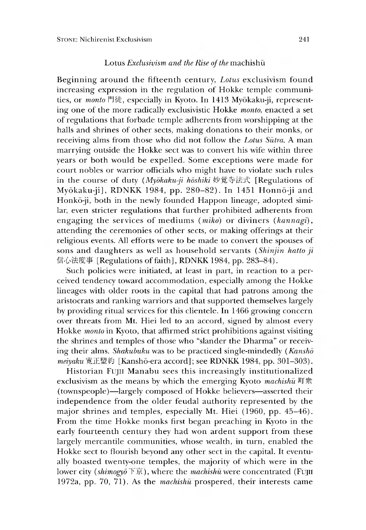#### Lotus *Exclusivism and the Rise of the* machishu

Beginning around the fifteenth century, *Lotus* exclusivism found increasing expression in the regulation of Hokke temple communities, or *monto* 門徒, especially in Kyoto. In 1413 Myōkaku-ji, representing one of the more radically exclusivistic Hokke *monto,* enacted a set of regulations that forbade temple adherents from worshipping at the halls and shrines of other sects, making donations to their monks, or receiving alms from those who did not follow the *Lotus Sutra.* A man marrying outside the Hokke sect was to convert his wife within three years or both would be expelled. Some exceptions were made for court nobles or warrior officials who might have to violate such rules in the course of duty *(Myokaku-ji hoshiki* 妙覚寺法式[Regulations of Myokaku-ji], RDNKK 1984 pp. 280-82). In 1451 Honno-ji and Honkō-ji, both in the newly founded Happon lineage, adopted similar, even stricter regulations that further prohibited adherents from engaging the services of mediums *(mino)* or diviners *(kannagi),* attending the ceremonies of other sects, or making offerings at their relieious events. All efforts were to be made to convert the spouses of sons and daughters as well as household servants *(Shinjin hatto ji*) 信心法度事 [Regulations of faith], RDNKK 1984, pp. 283-84).

Such policies were initiated, at least in part, in reaction to a perceived tendency toward accommodation, especially among the Hokke lineages with older roots in the capital that had patrons among the aristocrats and ranking warriors and that supported themselves largely by providing ritual services for this clientele. In 1466 growing concern over threats from Mt. Hiei led to an accord, siened by almost every Hokke *monto* in Kyoto, that affirmed strict prohibitions against visiting the shrines and temples of those who "slander the Dharma" or receiving their alms. *Shakubuku* was to be practiced single-mindedly *(Kansho*  $m$ eiyaku 寛正盟約 [Kanshō-era accord]; see RDNKK 1984, pp. 301-303).

Historian Fujii Manabu sees this increasingly institutionalized exclusivism as the means by which the emerging Kyoto *machishu* 町衆 (townspeople)—largely composed of HoKke believers—asserted their independence from the older feudal authority represented by the major shrines and temples, especially Mt. Hiei (1960, pp. 45–46). From the time Hokke monks first began preaching in Kyoto in the early fourteenth century they had won ardent support from these largely mercantile communities, whose wealth, in turn, enabled the Hokke sect to flourish beyond any other sect in the capital. It eventually boasted twenty-one temples, the majority of which were in the lower city *(shimogyō* 下京), where the *machishu* were concentrated (FUJII 1972a, pp. 70, 71). As the *machishu* prospered, their interests came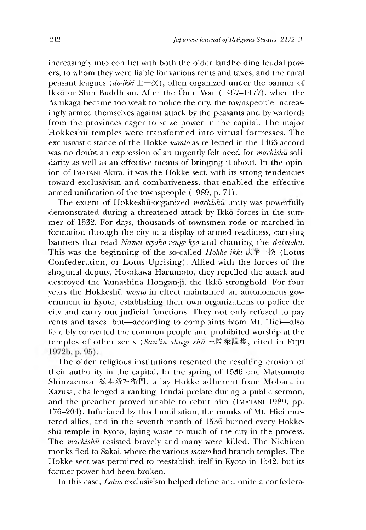increasingly into conflict with both the older landholding feudal powers, to whom they were liable for various rents and taxes, and the rural peasant leagues *(do-ikki* 土一揆), often organized under the banner of Ikko or Shin Buddhism. After the Onin War  $(1467-1477)$ , when the Ashikaga became too weak to police the city, the townspeople increasingly armed themselves against attack by the peasants and by warlords from the provinces eaeer to seize power in the capital. The major Hokkeshū temples were transformed into virtual fortresses. The exclusivistic stance of the Hokke *monto* as reflected in the 1466 accord was no doubt an expression of an urgently felt need for *machishu* solidarity as well as an effective means of bringing it about. In the opinion of Imatani Akira, it was the HoKke sect, with its strong tendencies toward exclusivism and combativeness, that enabled the effective armed unification of the townspeople (1989, p. 71).

The extent of Hokkeshū-organized *machishu* unity was powerfully demonstrated during a threatened attack by Ikko forces in the summer of 1532. For days, thousands of townsmen rode or marched in formation through the city in a display of armed readiness, carrying banners that read *Namu-mydhd-renge-kyd* and chanting the *daimoku.* This was the beginning of the so-called *Hokke ikki* 法華一揆 (Lotus Confederation, or Lotus Uprising). Allied with the forces of the shogunal deputy, Hosokawa Harumoto, they repelled the attack and destroyed the Yamashina Hongan-ji, the Ikko stronghold. For four years the Hokkeshū *monto* in effect maintained an autonomous government in Kyoto, establishing their own organizations to police the city and carry out judicial functions. They not only refused to pay rents and taxes, but—according to complaints from Mt. Hiei—also forcibly converted the common people and prohibited worship at the temples of other sects *(San'in shugi shū* 三院衆議集, cited in Fuju 1972b, p. 95).

The older religious institutions resented the resulting erosion of their authority in the capital. In the spring of 1536 one Matsumoto Shinzaemon 松本新左衛門, a lay Hokke adherent from Mobara in Kazusa, challenged a ranking Tendai prelate during a public sermon, and the preacher proved unable to rebut him (IMATANI 1989, pp. 176-204). Infuriated by this humiliation, the monks of Mt. Hiei mustered allies, and in the seventh month of 1536 burned every Hokkeshu temple in Kyoto, laying waste to much of the city in the process. 1 he *machishu* resisted bravely and many were killed. The Nichiren monks fled to Sakai, where the various *monto* had branch temples. The Hokke sect was permitted to reestablish itelf in Kyoto in 1542, but its former power had been broken.

In this case, *Lotus* exclusivism helped define and unite a confedera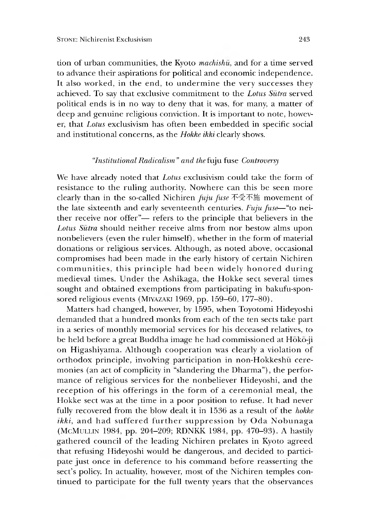tion of urban communities, the Kyoto *machishu,* and for a time served to advance their aspirations for political and economic independence. It also worked, in the end, to undermine the very successes they achieved. To say that exclusive commitment to the *Lotus Sutra* served political ends is in no way to deny that it was, for many, a matter of deep and genuine religious conviction. It is important to note, however, that *Lotus* exclusivism has often been embedded in specific social and institutional concerns, as the *Hokke ikki* clearly shows.

## *"Institutional Radicalism" and the* fuju fuse *Controversy*

We have already noted that *Lotus* exclusivism could take the form of resistance to the ruling authority. Nowhere can this be seen more clearly than in the so-called Nichiren *fuju fuse* 不受不施 movement of the late sixteenth and early seventeenth centuries. *Fuju fuse*—"to neither receive nor offer"一 refers to the principle that believers in the *Lotus Sutra* should neither receive alms from nor bestow alms upon nonbelievers (even the ruler himself), whether in the form of material donations or religious services. Although, as noted above, occasional compromises had been made in the early history of certain Nichiren communities, this principle had been widely honored during medieval times. Under the Ashikaga, the Hokke sect several times sought and obtained exemptions from participating in bakufu-sponsored religious events (MIYAZAKI 1969, pp. 159-60, 177-80).

Matters had changed, however, by 1595, when Toyotomi Hideyoshi demanded that a hundred monks from each of the ten sects take part in a series of monthly memorial services for his deceased relatives, to be held before a great Buddha image he had commissioned at Hoko-ji on Hieashiyama. Although cooperation was clearly a violation of orthodox principle, involving participation in non-HoKkeshu ceremonies (an act of complicity in "slandering the Dharma"), the performance of religious services for the nonbeliever Hideyoshi, and the reception of his offerings in the form of a ceremonial meal, the Hokke sect was at the time in a poor position to refuse. It had never fully recovered from the blow dealt it in 1536 as a result of the *hokke ikki,* and had suffered further suppression by Oda Nobunaga (MCMULLIN 1984, pp. 204–209; RDNKK 1984, pp. 470–93). A hastily gathered council of the leading Nichiren prelates in Kyoto agreed that refusing Hideyoshi would be dangerous, and decided to participate just once in deference to his command before reasserting the sect's policy. In actuality, however, most of the Nichiren temples continued to participate for the full twenty years that the observances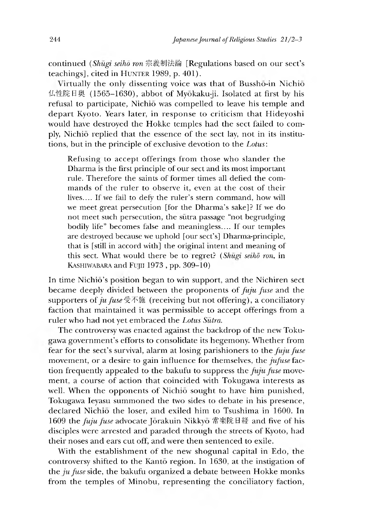continued *(Shugi seihd ron* 宗義制法論[Regulations based on our sect's teachings], cited in HUNTER 1989, p.  $401$ ).

Virtually the only dissenting voice was that of Busshō-in Nichiō 仏性院日奥 (1565-1630), abbot of Mvōkaku-ji. Isolated at first by his refusal to participate, Nichio was compelled to leave his temple and depart Kyoto. Years later, in response to criticism that Hideyoshi would have destroyed the Hokke temples had the sect failed to comply, Nichio replied that the essence of the sect lay, not in its institutions, but in the principle of exclusive devotion to the *Lotus*:

Refusing to accept offerings from those who slander the Dharma is the first principle of our sect and its most important rule. Therefore the saints of former times all defied the commands of the ruler to observe it, even at the cost of their lives.... If we fail to defy the ruler's stern command, how will we meet great persecution [for the Dharma's sake]? If we do not meet such persecution, the sutra passage "not begrudging bodily life" becomes false and meaningless.... If our temples are destroyed because we uphold [our sect's] Dharma-principle, that is [still in accord with] the original intent and meaning of this sect. What would there be to regret? *(Shugi seiho ron*, in KASHIWABARA and FUJII 1973, pp. 309-10)

In time Nichio's position began to win support, and the Nichiren sect became deeply divided between the proponents of *fuju fuse* and the supporters *of ju fuse 受不施*(receiving but not offering), a conciliatory faction that maintained it was permissible to accept offerings from a ruler who had not yet embraced the *Lotus Sutra.*

The controversy was enacted against the backdrop of the new Tokueawa government's efforts to consolidate its hegemony. Whether from fear for the sect's survival, alarm at losing parishioners to the *fuju fuse* movement, or a desire to gain influence for themselves, the *jufuse* faction frequently appealed to the bakufu to suppress the *fuju fuse* movement, a course of action that coincided with Tokugawa interests as well. When the opponents of Nichio sought to have him punished, Tokugawa Ieyasu summoned the two sides to debate in his presence, declared Nichio the loser, and exiled him to Tsushima in 1600. In 1609 the *fuju fuse* advocate Jōrakuin Nikkyō 常楽院日経 and five of his disciples were arrested and paraded through the streets of Kyoto, had their noses and ears cut off, and were then sentenced to exile.

With the establishment of the new shogunal capital in Edo, the controversy shifted to the Kanto region. In 1630, at the instigation of the *ju fuse* side, the bakufu organized a debate between Hokke monks from the temples of Minobu, representing the conciliatory faction,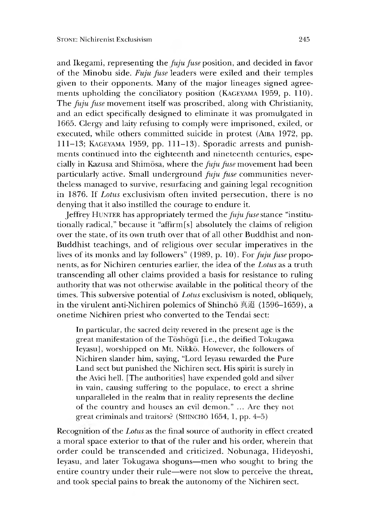and Ikegami, representing the *fuju fuse* position, and decided in favor of the Minobu side. *Fuju fuse* leaders were exiled and their temples given to their opponents. Many of the major lineages signed agreements upholding the conciliatory position (KAGEYAMA 1959, p. 110). The *fuju fuse* movement itself was proscribed, along with Christianity, and an edict specifically designed to eliminate it was promulgated in 1665. Clergy and laity refusing to comply were imprisoned, exiled, or executed, while others committed suicide in protest (AIBA 1972, pp. 111-13; Kageyama 1959, pp. 111-13). Sporadic arrests and punishments continued into the eighteenth and nineteenth centuries, especially in Kazusa and shimosa, where the *fuju fuse* movement had been particularly active. Small underground *fuju fuse* communities nevertheless managed to survive, resurfacing and gaining legal recognition in 1876. If *Lotus* exclusivism often invited persecution, there is no denying that it also instilled the courage to endure it.

Jeffrey HUNTER has appropriately termed the *fuju fuse* stance "institutionally radical," because it "affirm [s] absolutely the claims of religion over the state, of its own truth over that of all other Buddhist and non-Buddhist teachings, and of religious over secular imperatives in the lives of its monks and lay followers" (1989, p. 10). For *fuju fuse* proponents, as for Nichiren centuries earlier, the idea of the *Lotus* as a truth transcending all other claims provided a basis for resistance to ruling authority that was not otherwise available in the political theory of the times. This subversive potential of *Lotus* exclusivism is noted, obliquely, in the virulent anti-Nichiren polemics of Shincho 真迢 (1596-1659), a onetime Nichiren priest who converted to the Tendai sect:

In particular, the sacred deity revered in the present age is the great manifestation of the Toshogu [i.e., the deified Tokugawa Ieyasu], worshipped on Mt. Nikko. However, the followers of Nichiren slander him, saying, "Lord Ieyasu rewarded the Pure Land sect but punished the Nichiren sect. His spirit is surely in the Avici hell. [The authorities] have expended gold and silver in vain, causing suffering to the populace, to erect a shrine unparalleled in the realm that in reality represents the decline of the country and houses an evil demon." ... Are they not great criminals and traitors? (SHINCHO 1654, 1, pp.  $4-5$ )

Recognition of the *Lotus* as the final source of authority in effect created a moral space exterior to that of the ruler and his order, wherein that order could be transcended and criticized. Nobunaga, Hideyoshi, Ieyasu, and later Tokugawa shoguns—men who sought to bring the entire country under their rule—were not slow to perceive the threat, and took special pains to break the autonomy of the Nichiren sect.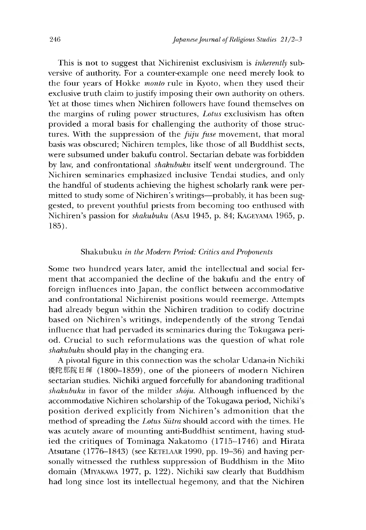This is not to suggest that Nichirenist exclusivism is *inherently* subversive of authority. For a counter-example one need merely look to the four years of Hokke *monto* rule in Kyoto, when they used their exclusive truth claim to justify imposing their own authority on others. Yet at those times when Nichiren followers have found themselves on the margins of ruling power structures, *Lotus* exclusivism has often provided a moral basis for challenging the authority of those structures. With the suppression of the *fuju fuse* movement, that moral basis was obscured; Nichiren temples, like those of all Buddhist sects, were subsumed under bakufu control. Sectarian debate was forbidden by law, and confrontational *shakubuku* itself went underground. The Nichiren seminaries emphasized inclusive Tendai studies, and only the handful of students achieving the highest scholarly rank were permitted to study some of Nichiren's writings—probably, it has been suggested, to prevent youthful priests from becoming too enthused with Nichiren's passion for *shakubuku* (Asal 1945, p. 84; KAGEYAMA 1965, p. 185).

# Shakubuku *in the Modern Period: Critics and Proponents*

Some two hundred years later, amid the intellectual and social ferment that accompanied the decline of the bakufu and the entry of foreign influences into Japan, the conflict between accommodative and confrontational Nichirenist positions would reemerge. Attempts had already begun within the Nichiren tradition to codify doctrine based on Nichiren's writings, independently of the strong Tendai influence that had pervaded its seminaries during the Tokugawa period. Crucial to such reformulations was the question of what role *shakubuku* should play in the changing era.

A pivotal figure in this connection was the scholar Udana-in Nichiki 優陀那院日輝(1800-1859),one of the pioneers of modern Nichiren sectarian studies. Nichiki argued forcefully for abandoning traditional *shakubuku* in favor of the milder *shoju.* Although influenced by the accommodative Nichiren scholarship of the Tokugawa period, Nichiki's position derived explicitly from Nichiren's admonition that the method of spreading the *Lotus Sutra* should accord with the times. He was acutely aware of mounting anti-Buddhist sentiment, having studied the critiques of Tominaga Nakatomo (1715-1746) and Hirata Atsutane (1776–1843) (see KETELAAR 1990, pp. 19–36) and having personally witnessed the ruthless suppression of Buddhism in the Mito domain (MIYAKAWA 1977, p. 122). Nichiki saw clearly that Buddhism had long since lost its intellectual hegemony, and that the Nichiren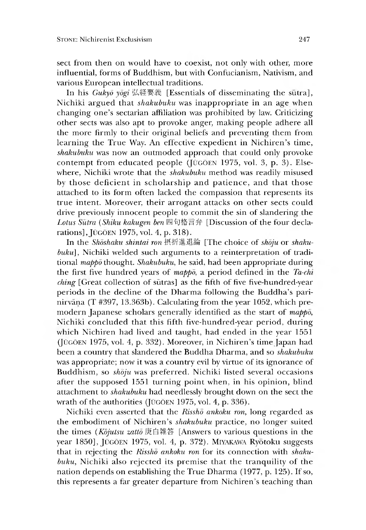sect from then on would have to coexist, not only with other, more influential, forms of Buddhism, but with Confucianism, Nativism, and various European intellectual traditions.

In his *Gukyd yogi* 弘経要義[Essentials of disseminating the sutra], Nichiki argued that *shakubuku* was inappropriate in an age when changing one's sectarian affiliation was prohibited by law. Criticizing other sects was also apt to provoke anger, making people adhere all the more firmly to their original beliefs and preventing them from learning the True Way. An effective expedient in Nichiren's time, *shakubuku* was now an outmoded approach that could only provoke contempt from educated people ( $\overline{JUGO}$ EN 1975, vol. 3, p. 3). Elsewhere, Nichiki wrote that the *shakubuku* method was readily misused by those deficient in scholarship and patience, and that those attached to its form often lacked the compassion that represents its true intent. Moreover, their arrogant attacks on other sects could drive previously innocent people to commit the sin of slandering the *Lotus Sutra (Shiku kakugen ben* 四句格言弁[Discussion of the four declarations], JŪGŌEN 1975, vol. 4, p. 318).

In the *Shoshaku shintai ron* 摂折進退論[The choice of *shoju* or *shakubuku]* , Nichiki welded such arguments to a reinterpretation of traditional *mappo* thought. *Shakubuku,* he said, haa been appropriate during the first five hundred years of *mappo*, a period defined in the *Ta-chi ching* [Great collection of sutras] as the fifth of five five-hundred-year periods in the decline of the Dharma following the Buddha's parinirvāna (T  $#397, 13.363b$ ). Calculating from the year 1052, which premodern Japanese scholars generally identified as the start of *mappo,* Nichiki concluded that this fifth five-hundred-year period, during which Nichiren had lived and taught, had ended in the year 1551 (JŪGŌEN 1975, vol. 4, p. 332). Moreover, in Nichiren's time Japan had been a country that slandered the Buddha Dharma, and so *shakubuku* was appropriate; now it was a country evil by virtue of its ignorance of Buddnism, so *shoju* was preferred. Nichiki listed several occasions after the supposed 1551 turning point when, in his opinion, blind attachment to *shakubuku* had needlessly brought down on the sect the wrath of the authorities (JUGOEN 1975, vol. 4, p. 336).

Nichiki even asserted that the *Rissho ankoku ron,* long regarded as the embodiment of Nichiren's *shakubuku* practice, no longer suited the times *(Kdjutsu zatto* 庚白雑答[Answers to various questions in the year 1850], JŪGŌEN 1975, vol. 4, p. 372). MIYAKAWA Ryōtoku suggests that in rejecting the *Rissho ankoku ron* for its connection with *shakubuku,* Nichiki also rejected its premise that the tranquility of the nation depends on establishing the True Dharma (1977, p. 125). If so, this represents a far greater departure from Nichiren's teaching than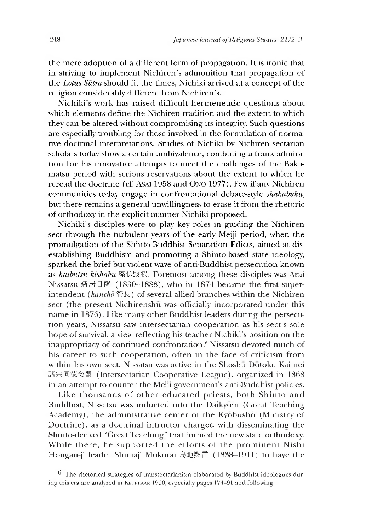the mere adoption of a different form of propagation. It is ironic that in striving to implement Nichiren's admonition that propagation of the *Lotus Sutra* should fit the times, Nichiki arrived at a concept of the religion considerably different from Nichiren's.

Nichiki's work has raised difficult hermeneutic questions about which elements define the Nichiren tradition and the extent to which they can be altered without compromising its integrity. Such questions are especially troubling for those involved in the formulation of normative doctrinal interpretations. Studies of Nichiki by Nichiren sectarian scholars today show a certain ambivalence, combining a frank admiration for his innovative attempts to meet the challenges of the Bakumatsu period with serious reservations about the extent to which he reread the doctrine (cf. Asai 1958 and Ono 1977). Few if any Nichiren communities today engage in confrontational debate-style *shakubuku,* but there remains a general unwillingness to erase it from the rhetoric of orthodoxy in the explicit manner Nichiki proposed.

Nichiki's disciples were to play key roles in guiding the Nichiren sect through the turbulent years of the early Meiji period, when the promulgation of the Shinto-Buddhist Separation Edicts, aimed at disestablishing Buddhism and promoting a Shinto-based state ideology, sparked the brief but violent wave of anti-Buddhist persecution known as *haibutsu kishaku* 廃仏毀釈. Foremost among these disciples was Arai Nissatsu 新居日薩 (1830-1888), who in 1874 became the first superintendent *(kanchd* 管長) of several allied branches within the Nichiren sect (the present Nichirenshū was officially incorporated under this name in 1876). Like many other Buddhist leaders during the persecution years, Nissatsu saw intersectarian cooperation as his sect's sole hope of survival, a view reflecting his teacher Nichiki's position on the inappropriacy of continued confrontation.<sup>6</sup> Nissatsu devoted much of his career to such cooperation, often in the face of criticism from within his own sect. Nissatsu was active in the Shoshū Dōtoku Kaimei 諸宗同徳会盟(Intersectarian Cooperative League), organized in 1868 in an attempt to counter the Meiji government's anti-Buddnist policies.

Like thousands of other educated priests, both Shinto and Buddhist, Nissatsu was inducted into the Daikyoin (Great Teaching Academy), the administrative center of the Kyōbushō (Ministry of Doctrine), as a doctrinal intructor charged with disseminating the Shinto-derived "Great Teaching" that formed the new state orthodoxy. While there, he supported the efforts of the prominent Nishi Hongan-ji leader Shimaji Mokurai 島地黙雷(1838-1911) to have the

 $6$  The rhetorical strategies of transsectarianism elaborated by Buddhist ideologues during this era are analyzed in KETELAAR 1990, especially pages 174-91 and following.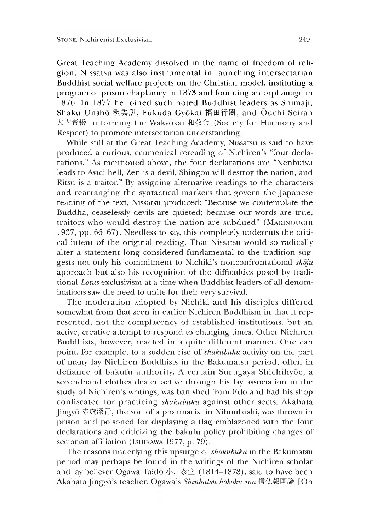Great Teaching Academy dissolved in the name of freedom of religion. Nissatsu was also instrumental in launching intersectarian Buddhist social welfare projects on the Christian model, instituting a program of prison chaplaincy in 1873 and founding an orphanage in 1876. In 1877 he joined such noted Buddhist leaders as Shimaji, Shaku Unsho 釈雲照,Fukuda Gyokai 福田行闍,and Ouchi Seiran 大内青巒 in forming the Wakyōkai 和敬会 (Society for Harmony and Respect) to promote intersectarian understanding.

While still at the Great Teaching Academy, Nissatsu is said to have produced a curious, ecumenical rereading of Nichiren's "four declarations." As mentioned above, the four declarations are "Nenbutsu leads to Avici hell, Zen is a devil, Shingon will destroy the nation, and Ritsu is a traitor." By assigning alternative readings to the characters and rearranging the syntactical markers that govern the Japanese reading of the text, Nissatsu produced: "Because we contemplate the Buddha, ceaselessly devils are quieted; because our words are true, traitors who would destroy the nation are subdued" (Makinouchi 1937, pp.  $66-67$ ). Needless to say, this completely undercuts the critical intent of the original reading. That Nissatsu would so radically alter a statement long considered fundamental to the tradition suggests not only his commitment to Nichiki's nonconfrontational *shoju* approach but also his recognition of the difficulties posed by traditional *Lotus* exclusivism at a time when Buddhist leaders of all denominations saw the need to unite for their very survival.

The moderation adopted by Nichiki and his disciples differed somewhat from that seen in earlier Nichiren Buddhism in that it represented, not the complacency of established institutions, but an active, creative attempt to respond to changing times. Other Nichiren Buddhists, however, reacted in a quite different manner. One can point, for example, to a sudden rise of *shakubuku* activity on the part of many lay Nichiren Buddhists in the Bakumatsu period,often in defiance of bakufu authority. A certain Surugaya Shichihyoe, a secondhand clothes dealer active through his lay association in the study of Nichiren's writings, was banished from Edo and had his shop confiscated for practicing *shakubuku* against other sects. Akahata Jingyō 赤旗深行, the son of a pharmacist in Nihonbashi, was thrown in prison and poisoned for displaying a flag emblazoned with the four declarations and criticizing the bakufu policy prohibiting changes of sectarian affiliation (Ishikawa 1977, p. 79).

The reasons underlyine this upsurge of *shakubuku* in the Bakumatsu period may perhaps be found in the writings of the Nichiren scholar and lay believer Ogawa Taidō 小川泰堂 (1814–1878), said to have been Akahata Jingyō's teacher. Ogawa's *Shinbutsu hōkoku ron* 信仏報国論 [On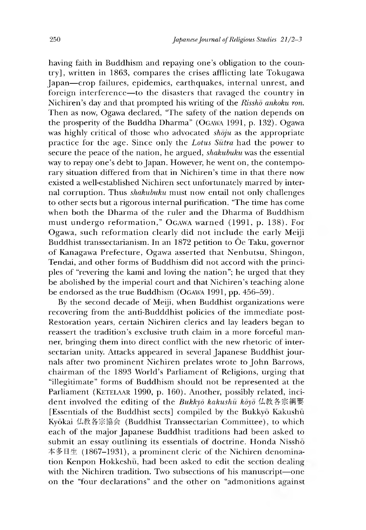having faith in Buddhism and repaying one's obligation to the country], written in 1863, compares the crises afflicting late Tokugawa Japan—crop failures, epidemics, earthquakes, internal unrest, and foreign interference— to the disasters that ravaged the country in Nichiren's day and that prompted his writing of the *Rissho ankoku ron.* Then as now, Ogawa declared, "The safety of the nation depends on the prosperity of the Buddha Dharma" (OGAWA 1991, p. 132). Ogawa was highly critical of those who advocated *shoju* as the appropriate practice for the age. Since only the *Lotus Sutra* had the power to secure the peace of the nation, he argued, *shakubuku* was the essential way to repay one's debt to Japan. However, he went on, the contemporary situation differed from that in Nichiren's time in that there now existed a well-established Nichiren sect unfortunately marred by internal corruption. Thus *shakubuku* must now entail not only challenges to other sects but a rigorous internal purification. "The time has come when both the Dharma of the ruler and the Dharma of Buddhism must undergo reformation," OGAWA warned (1991, p. 138). For Ogawa, such reformation clearly did not include the early Meiji Buddhist transsectarianism. In an 1872 petition to Oe Taku, governor of Kanagawa Prefecture, Ogawa asserted that Nenbutsu, Shingon, Tendai, and other forms of Buddhism did not accord with the principles of "revering the kami and loving the nation"; he urged that they be abolished by the imperial court and that Nichiren's teaching alone be endorsed as the true Buddhism (OGAWA 1991, pp. 456-59).

By the second decade of Meiji, when Buddhist organizations were recovering from the anti-Budddhist policies of the immediate post-Restoration years, certain Nichiren clerics and lay leaders began to reassert the tradition's exclusive truth claim in a more forceful manner, bringing them into direct conflict with the new rhetoric of intersectarian unity. Attacks appeared in several Japanese Buddhist journals after two prominent Nichiren prelates wrote to John Barrows, chairman of the 1893 World's Parliament of Religions, urging that "illegitimate" forms of Buddhism should not be represented at the Parliament (KETELAAR 1990, p. 160). Another, possibly related, incident involved the editing of the *Bukkyo kakushu koyo* 仏教各宗綱要 [Essentials of the Buddhist sects] compiled by the Bukkyō Kakushū Kyōkai 仏教各宗協会 (Buddhist Transsectarian Committee), to which each of the major Japanese Buddhist traditions had been asked to submit an essay outlining its essentials of doctrine. Honda Nissho 本多日生 (1867–1931), a prominent cleric of the Nichiren denomination Kenpon Hokkeshu, had been asked to edit the section dealing with the Nichiren tradition. Two subsections of his manuscript—one on the "four declarations" and the other on "admonitions against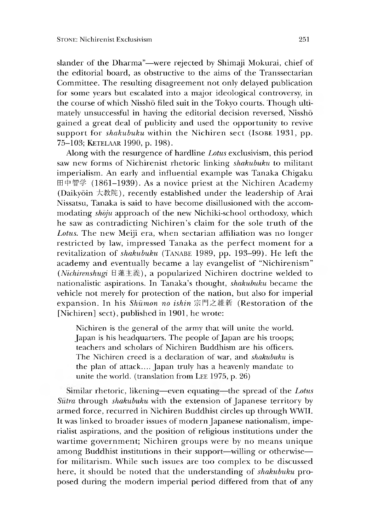slander of the Dharma"—were rejected by Shimaji Mokurai, chief of the editorial board, as obstructive to the aims of the Transsectarian Committee. The resulting disagreement not only delayed publication for some years but escalated into a major ideological controversy, in the course of which Nisshō filed suit in the Tokyo courts. Though ultimately unsuccessful in having the editorial decision reversed. Nissho gained a great deal of publicity and used the opportunity to revive support for *shakubuku* within the Nichiren sect (ISOBE 1931, pp. 75-103; KETELAAR 1990, p. 198).

Along with the resurgence of hardline *Lotus* exclusivism, this period saw new forms of Nichirenist rhetoric linking *shakubuku* to militant imperialism. An early and influential example was Tanaka Chigaku 田中智学 (1861–1939). As a novice priest at the Nichiren Academy (Daikyōin 大教院), recently established under the leadership of Arai Nissatsu, Tanaka is said to have become disillusioned with the accommodatine *shoju* approach of the new Nichiki-school orthodoxy, which he saw as contradicting Nichiren's claim for the sole truth of the *Lotus.* The new Meiji era, when sectarian affiliation was no longer restricted by law, impressed Tanaka as the perfect moment for a revitalization of *shakubuku* (TANABE 1989, pp. 193-99). He left the academy and eventually became a lay evangelist of "Nichirenism" (*Nichirenshugi* 日蓮主義), a popularized Nichiren doctrine welded to nationalistic aspirations. In Tanaka's thought, *shakubuku* became the vehicle not merely for protection of the nation, but also for imperial expansion. In his *Shūmon no ishin* 宗門之維新 (Restoration of the [Nichiren] sect), published in 1901, he wrote:

Nichiren is the general of the army that will unite the world. Japan is his headquarters. The people of Japan are his troops; teachers and scholars of Nichiren Buddhism are his officers. The Nichiren creed is a declaration of war, and *shakubuku* is the plan of attack.... Japan truly has a heavenly mandate to unite the world. (translation from LEE 1975, p. 26)

similar rhetoric, likening— even equating— the spread of the *Lotus Sutra* through *shakubuku* with the extension of Japanese territory by armed force, recurred in Nichiren Buddhist circles up through WWII. It was linked to broader issues of modern Japanese nationalism, imperialist aspirations, and the position of relieious institutions under the wartime government; Nichiren groups were by no means unique among Buddhist institutions in their support—willing or otherwise for militarism. While such issues are too complex to be discussed here, it should be noted that the understanding of *shakubuku* proposed during the modern imperial period differed from that of any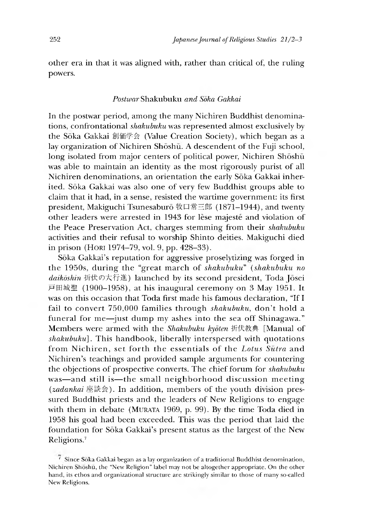other era in that it was aligned with, rather than critical of, the ruling powers.

## *Postwar* Shakubuku *and Soka Gakkai*

In the postwar period, among the many Nichiren Buddhist denominations, confrontational *shakubuku* was represented almost exclusively by the Sōka Gakkai 創価学会 (Value Creation Society), which began as a lay organization of Nichiren Shoshu. A descendent of the Fuji school, long isolated from major centers of political power, Nichiren Shōshū was able to maintain an identity as the most rigorously purist of all Nichiren denominations, an orientation the early Sōka Gakkai inherited. Soka Gakkai was also one of very few Buddhist groups able to claim that it had, in a sense, resisted the wartime government: its first president, Makiguchi Tsunesaburō 牧口常三郎 (1871–1944), and twenty other leaders were arrested in 1943 for lèse majesté and violation of the Peace Preservation Act, charges stemming from their *shakubuku* activities and their refusal to worship Shinto deities. Makiguchi died in prison (HORI 1974–79, vol. 9, pp. 428–33).

Sōka Gakkai's reputation for aggressive proselytizing was forged in the 1950s, durine the "great march of *shakubuku" (shakubuku no daikdshin* 折伏の大行進)launched by its second president, Toda Josei 戸田城聖 (1900-1958), at his inaugural ceremony on 3 May 1951. It was on this occasion that Toda first made his famous declaration, "If I fail to convert 750,000 families through *shakubuku,* don't hold a funeral for me—just dump my ashes into the sea off Shinagawa." Members were armed with the *Shakubuku kyoten* 折伏教典 [Manual of *shakubuku].* This handbook, liberally interspersed with quotations from Nichiren, set forth the essentials of the *Lotus Sutra* and Nichiren's teachings and provided sample arguments for countering the objections of prospective converts. The chief forum for *shakubuku* was— and still is— the small neighborhood discussion meeting *(zadankai* 座談会) . In addition, members of the youth division pressured Buddhist priests and the leaders of New Religions to engage with them in debate (MURATA 1969, p. 99). By the time Toda died in 1958 his goal had been exceeded. This was the period that laid the foundation for Sōka Gakkai's present status as the largest of the New Religions.7

<sup>&</sup>lt;sup>7</sup> Since Sōka Gakkai began as a lay organization of a traditional Buddhist denomination, Nichiren shoshu, the "New Religion" label may not be altogether appropriate. On the other hand, its ethos and organizational structure are strikingly similar to those of many so-called New Religions.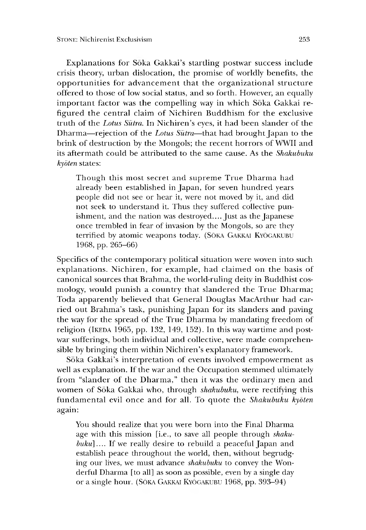Explanations for Sōka Gakkai's startling postwar success include crisis theory, urban dislocation, the promise of worldly benefits, the opportunities for advancement that the organizational structure offered to those of low social status, and so forth. However, an equally important factor was the compelling way in which Sōka Gakkai refigured the central claim of Nichiren Buddhism for the exclusive truth of the *Lotus Sutra.* In Nichiren's eyes, it had been slander of the Dharma—rejection of the *Lotus Sutra*—that had brought Japan to the brink of destruction by the Mongols; the recent horrors of WWII and its aftermath could be attributed to the same cause. As the *Shakubuku kydten* states:

Though this most secret and supreme True Dharma had already been established in Japan, for seven hundred years people did not see or hear it, were not moved by it, and did not seek to understand it. Thus they suffered collective punishment, and the nation was destroyed.... Just as the Japanese once trembled in fear of invasion by the Mongols, so are they terrified by atomic weapons today. (SOKA GAKKAI KYOGAKUBU 1968, pp. 265-66)

Specifics of the contemporary political situation were woven into such explanations. Nichiren, for example, had claimed on the basis of canonical sources that Brahma, the world-ruling deity in Buddhist cosmology, would punish a country that slandered the True Dharma; Toda apparently believed that General Douglas MacArthur had carried out Brahma's task, punishing Japan for its slanders and paving the way for the spread of the True Dharma by mandating freedom of religion (IKEDA 1965, pp. 132, 149, 152). In this way wartime and postwar sufferings, both individual and collective, were made comprehensible by bringing them within Nichiren's explanatory framework.

Soka Gakkai's interpretation of events involved empowerment as well as explanation. If the war and the Occupation stemmed ultimately from "slander of the Dharma," then it was the ordinary men and women of Soka Gakkai who, through *shakubuku,* were rectifying this fundamental evil once and for all. To quote the *Shakubuku kydten* again:

You should realize that you were born into the Final Dharma age with this mission [i.e., to save all people through *shakubuku] ....* If we really desire to rebuild a peaceful Japan and establish peace throughout the world, then, without begrudging our lives, we must advance *shakubuku* to convey the Wonderful Dharma [to all] as soon as possible, even by a single day or a single hour. (Sōka Gakkai Kyōgakubu 1968, pp. 393-94)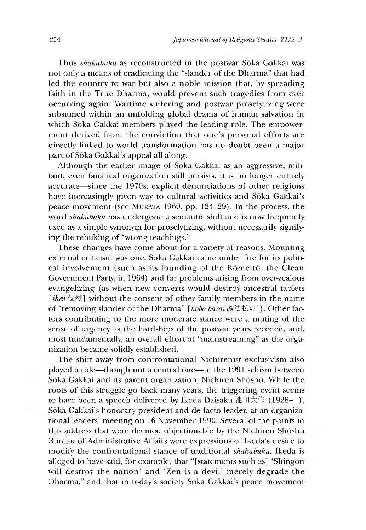Thus *shakubuku* as reconstructed in the postwar Sōka Gakkai was not only a means of eradicating the "slander of the Dharma" that had led the country to war but also a noble mission that, by spreading faith in the True Dharma, would prevent such tragedies from ever occurring again. Wartime suffering and postwar proselytizing were subsumed within an unfoldine global drama of human salvation in which Sōka Gakkai members played the leading role. The empowerment derived from the conviction that one's personal efforts are directly linked to world transformation has no doubt been a major part of Sōka Gakkai's appeal all along.

Although the earlier image of Soka Gakkai as an aggressive, militant, even fanatical organization still persists, it is no longer entirely accurate—since the 1970s, explicit denunciations of other religions have increasingly given way to cultural activities and Sōka Gakkai's peace movement (see MURATA 1969, pp. 124–29). In the process, the word *shakubuku* has undergone a semantic shift and is now frequently used as a simple synonym for proselytizing, without necessarily signifying the rebuking of "wrong teachings."

These changes have come about for a variety of reasons. Mounting external criticism was one. Sōka Gakkai came under fire for its political involvement (such as its founding of the Komeito, the Clean Government Party, in 1964) and for problems arising from over-zealous evangelizing (as when new converts would destroy ancestral tablets *[ihai* 位然] without the consent of other family members in the name of "removing slander of the Dharma" [hobo barai 謗法払い]). Other factors contributine to the more moderate stance were a muting of the sense of urgency as the hardships of the postwar years receded, and, most fundamentally, an overall effort at "mainstreaming'" as the organization became solidly established.

The shift away from confrontational Nichirenist exclusivism also played a role—though not a central one—in the 1991 schism between Soka Gakkai and its parent organization, Nichiren Shoshu. While the roots of this struggle go back many years, the triggering event seems to have been a speech delivered by Ikeda Daisaku 池田大作 (1928- ), Sōka Gakkai's honorary president and de facto leader, at an organizational leaders' meeting on 16 November 1990. Several of the points in this address that were deemed objectionable by the Nichiren Shoshu Bureau of Administrative Affairs were expressions of Ikeda's desire to modify the confrontational stance of traditional *shakubuku.* Ikeda is alleged to have said, for example, that "[statements such as] 'Shingon will destroy the nation' and 'Zen is a devil' merely degrade the Dharma," and that in today's society Sōka Gakkai's peace movement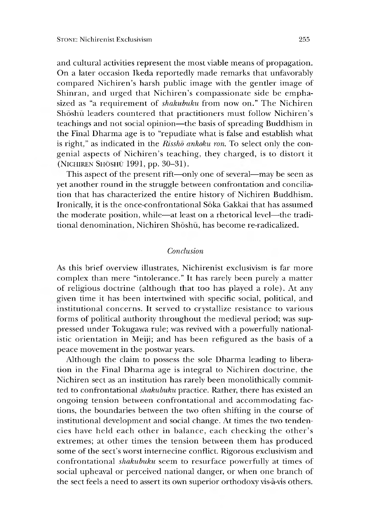and cultural activities represent the most viable means of propagation. On a later occasion Ikeda reportedly made remarks that unfavorably compared Nichiren's harsh public image with the gentler image of Shinran, and urged that Nichiren's compassionate side be emphasized as "a requirement of *shakubuku* from now on." The Nichiren Shoshu leaders countered that practitioners must follow Nichiren's teachings and not social opinion—the basis of spreading Buddhism in the Final Dharma age is to "repudiate what is false and establish what is right," as indicated in the *Rissho ankoku ron*. To select only the congenial aspects of Nichiren's teaching, they charged, is to distort it (NICHIREN SHOSHU 1991, pp. 30-31).

This aspect of the present rift—only one of several—may be seen as yet another round in the struggle between confrontation and conciliation that has characterized the entire history of Nichiren Buddhism. Ironically, it is the once-confrontational Soka Gakkai that has assumed the moderate position, while—at least on a rhetorical level—the traditional denomination, Nichiren Shōshū, has become re-radicalized.

## *Conclusion*

As this brief overview illustrates, Nichirenist exclusivism is far more complex than mere "intolerance." It has rarely been purely a matter of relieious doctrine (although that too has played a role). At any given time it has been intertwined with specific social, political,and institutional concerns. It served to crystallize resistance to various forms of political authority throughout the medieval period; was suppressed under Tokugawa rule; was revived with a powerfully nationalistic orientation in Meiji; and has been refieured as the basis of a peace movement in the postwar years.

Although the claim to possess the sole Dharma leading to liberation in the Final Dharma age is integral to Nichiren doctrine, the Nichiren sect as an institution has rarely been monolithically committed to confrontational *shakubuku* practice. Rather, there has existed an ongoing tension between confrontational and accommodating factions, the boundaries between the two often shitting in the course of institutional development and social change. At times the two tendencies have held each other in balance, each checking the other's extremes; at other times the tension between them has produced some of the sect's worst internecine conflict. Rigorous exclusivism and confrontational *shakubuku* seem to resurface powerfully at times of social upheaval or perceived national danger, or when one branch of the sect feels a need to assert its own superior orthodoxy vis-a-vis others.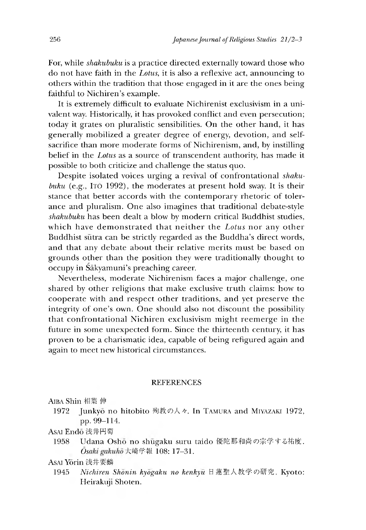For, while *shakubuku* is a practice directed externally toward those who do not have faith in the *Lotus,* it is also a reflexive act, announcing to others within the tradition that those engaged in it are the ones being faithful to Nichiren's example.

It is extremely difficult to evaluate Nichirenist exclusivism in a univalent way. Historically, it has provoked conflict and even persecution; today it grates on pluralistic sensibilities. On the other hand, it has generally mobilized a greater degree of energy, devotion, and selfsacrifice than more moderate forms of Nichirenism, and, by instilling belief in the *Lotus* as a source of transcendent authority, has made it possible to both criticize and challenge the status quo.

Despite isolated voices urging a revival of confrontational *shakubuku* (e.g., Ito 1992), the moderates at present hold sway. It is their stance that better accords with the contemporary rhetoric of tolerance and pluralism. One also imagines that traditional debate-style *shakubuku* has been dealt a blow by modern critical Buddhist studies, which have demonstrated that neither the *Lotus* nor any other Buddhist sutra can be strictly regarded as the Buddha's direct words, and that any debate about their relative merits must be based on grounds other than the position they were traditionally thought to occupy in Sakyamuni's preaching career.

Nevertheless, moderate Nichirenism faces a major challenge, one shared by other religions that make exclusive truth claims: how to cooperate with and respect other traditions, and yet preserve the integrity of one's own. One should also not discount the possibility that confrontational Nichiren exclusivism might reemerge in the future in some unexpected form. Since the thirteenth century, it has proven to be a charismatic idea, capable of being refigured again and again to meet new historical circumstances.

## **REFERENCES**

Aiba Shin相葉伸

1972 Junkyo no hitobito 殉教の人々. In TAMURA and MIYAZAKI 1972, pp. 99-114.

Asai Endo浅井円萄

1958 Udana Osho no shugaku suru taido 優陀那和尚の宗学する祐度.  $\bar{O}$ saki gakuhō 大崎学報 108: 17-31.

Asai Yōrin 浅井要麟

1945 *Nichiren Shonin kyogaku no kenkyu* 日蓮聖人教学の研究. Kyoto: Heirakuji Shoten.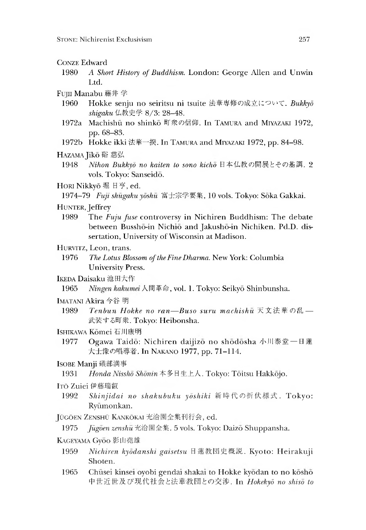|  | <b>CONZE Edward</b> |
|--|---------------------|
|--|---------------------|

- 1980 *A Short History of Buddhism.* London: George Allen and Unwin Ltd.
- Fuju Manabu 藤井学
	- 1960 Hokke senju no seiritsu ni tsuite 法華専修の成立について*. Bukkyd shigaku 仏教电学* 8/3: 28-48.
	- 1972a Machishū no shinkō 町衆の信仰. In Тамuка and Міхадакі 1972, pp. 68-83.
	- 1972b Hokke ikki 法華一揆. In TAMURA and MIYAZAKI 1972, pp. 84–98.
- HAZAMA Jikō 硲 慈弘
	- 1948 *Nihon Bukkyd no kaiten to sono kicho*日本仏教の開展とその基調. 2 vols. Tokyo: Sanseidō.
- HORI Nikkyō 堀 日亨, ed.

1974-79 *Fuji shugaku ydshu* 宗学要集,10 vols. Tokyo: Soka Gakkai.

#### HUNTER, Jeffrey

- 1989 Ihe *Fuju fuse* controversy in Nichiren Buddhism: The debate between Busshō-in Nichiō and Jakushō-in Nichiken. Pd.D. dissertation, University of Wisconsin at Madison.
- HURVITZ, Leon, trans.
- 1976 *The Lotus Blossom of the Fine Dharma.* New York: Columbia University Press.
- IKEDA Daisaku 池田大作
- 1965 *Ningen kakumei* 人間革命, vol. 1. Tokyo: Seikyō Shinbunsha.
- IMATANI Akira 今谷 明
- 1989 *Tenbun Hokke no ran—Buso suru machishu* 文法華の 武装する町衆. Tokyo: Heibonsha.
- ISHIKAWA Komei 石川康明
	- 1977 Ogawa Taidō: Nichiren daijizō no shōdōsha 小川泰堂一日蓮 大士像の唱導者. In NAKANO 1977, pp. 71-114.

# Isobe Manji 礒部満事

- 1931 *Honda Nissho Shonin* 本多日生上人. Tokyo: Toitsu Hakkojo.
- ITŌ Zuiei 伊藤瑞叡
- 1992 *Shinjidai no shakubuku yōshiki* 新時代の折伏様式. Tokyo: Ryumonkan.
- JUGŌEN ZENSHŪ KANKŌKAI 充洽園全集刊行会, ed.
	- 1975 *Jugoen zenshu* 充治園全集. 5 vols. Tokyo: Daizo Shuppansha.
- KAGEYAMA Gyoo 影山堯雄
	- 1959 *Nichiren kyddanshi gaisetsu* 日蓮教団史概説. Kyoto: Heirakuji Shoten.
	- 1965 Chusei kmsei oyobi gendai shakai to Hokke Kyodan to no kosho 中世近世及び現代社会と法華教団との交渉. In *Hokekyō no shisō to*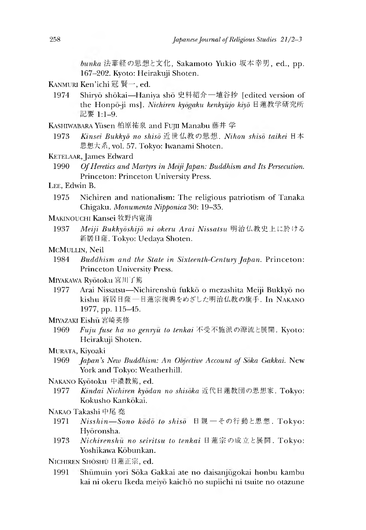bunka 法華経の思想と文化, Sakamoto Yukio坂本幸男, ed., pp. 167-202. Kyoto: Heirakuji Shoten.

- KANMURI Ken'ichi 冠 賢一, ed.
	- 1974 Shirvō shōkai—Haniya shō 史料紹介一埴谷抄 [edited version of the Honpō-ji ms]. *Nichiren kyōgaku kenkyūjo kiyō* 日蓮教学研究所 記要 1:1-9.

KASHIWABARA Yusen 柏原祐泉 and Fuju Manabu 藤井 学

- 1973 *Kinsei Bukkyd no shiso* 近世仏教の思想*. Nihon shiso taikei* 日本 思想大系, vol. 57. Tokyo: Iwanami Shoten.
- KETELAAR, James Edward
	- 1990 *Of Heretics and Martyrs in Meiji Japan: Buddhism and Its Persecution.* Princeton: Princeton University Press.
- LEE, Edwin B.
	- 1975 Nicniren and nationalism: The religious patriotism of Tanaka Chigaku. *Monumenta Nipponica* 30:19-35.
- MAKINOUCHI Kansei 牧野内寛清
	- 1937 *Meiji Bukkyoshijo ni okeru Arai Nissatsu* 明治仏教 上に於け 新居曰薩. Tokyo: Uedaya Shoten.
- MCMULLIN, Neil
	- 1984 *Buddhism and the State in Sixteenth-Century Japan.* Princeton: Princeton University Press.

Miyakawa Ryotoku 宮川了篤

- 1977 Arai Nissatsu—Nichirenshū fukko o mezashita Meiji Bukkyo no kishu 新居日薩一日蓮宗復興をめざした明治仏教の旗手. In NAKANO 1977 pp. 115-45.
- Miyazaki Eishu 宮崎英修
	- 1969 *Fuju fuse ha no genryu to tenkai* 不受不施派の源流と展開. Kyoto: Heirakuii shoten.
- MURATA, Kiyoaki
	- 1969 *Jajmn's New Buddhism: An Objective Account of Soka Gakkai.* New York and Tokyo: Weatherhill.

NAKANO Kyōtoku 中濃教篤, ed.

- 1977 Kindai Nichiren kyōdan no shisōka 近代日蓮教団の思想家. Tokyo: Kokusho Kankōkai.
- NAKAO Takashi 中尾 堯
	- 1971 *Nisshin-Sono kodo to shiso* 日親ーその行動と思想. Tokyo: Hvoronsha.
	- 1973 *Nichirenshu no seiritsu to tenkai* 日蓮宗の成立と展開. Tokvo: Yoshikawa Kobunkan.
- NICHIREN SHŌSHŪ 日蓮正宗, ed.
	- 1991 Shūmuin yori Sōka Gakkai ate no daisanjūgokai honbu kambu kai ni okeru Ikeda meiyo kaicho no supuchi ni tsuite no otazune